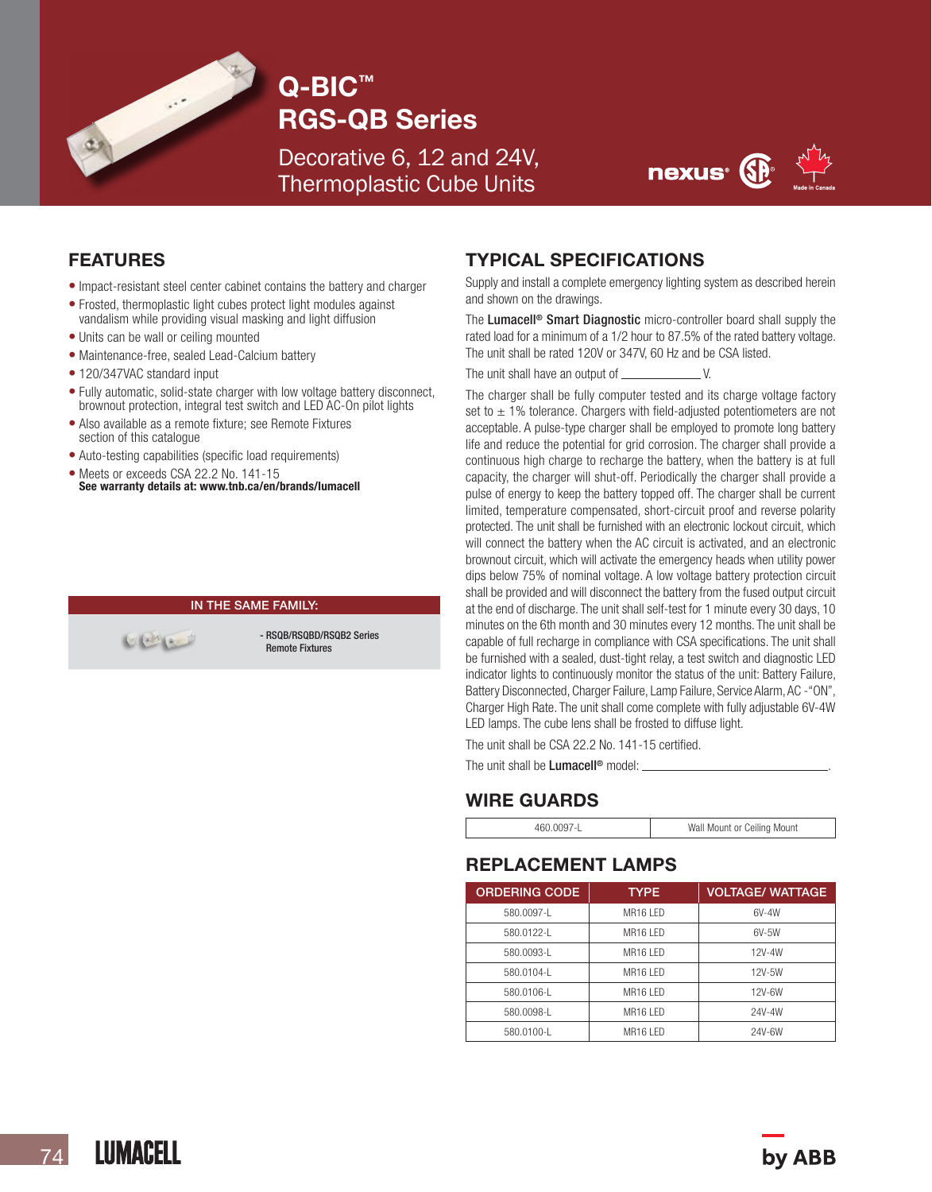

# Q-BIC™ RGS-QB Series

Decorative 6, 12 and 24V, Thermoplastic Cube Units



### FEATURES

- Impact-resistant steel center cabinet contains the battery and charger
- Frosted, thermoplastic light cubes protect light modules against vandalism while providing visual masking and light diffusion
- Units can be wall or ceiling mounted
- Maintenance-free, sealed Lead-Calcium battery
- 120/347VAC standard input
- Fully automatic, solid-state charger with low voltage battery disconnect, brownout protection, integral test switch and LED AC-On pilot lights
- Also available as a remote fixture; see Remote Fixtures section of this catalogue
- Auto-testing capabilities (specific load requirements)
- Meets or exceeds CSA 22.2 No. 141-15 See warranty details at: www.tnb.ca/en/brands/lumacell

#### IN THE SAME FAMILY:

 $\begin{picture}(120,20) \put(0,0){\line(1,0){10}} \put(15,0){\line(1,0){10}} \put(15,0){\line(1,0){10}} \put(15,0){\line(1,0){10}} \put(15,0){\line(1,0){10}} \put(15,0){\line(1,0){10}} \put(15,0){\line(1,0){10}} \put(15,0){\line(1,0){10}} \put(15,0){\line(1,0){10}} \put(15,0){\line(1,0){10}} \put(15,0){\line(1,0){10}} \put(15,0){\line($ 

- RSQB/RSQBD/RSQB2 Series Remote Fixtures

#### TYPICAL SPECIFICATIONS

Supply and install a complete emergency lighting system as described herein and shown on the drawings.

The Lumacell<sup>®</sup> Smart Diagnostic micro-controller board shall supply the rated load for a minimum of a 1/2 hour to 87.5% of the rated battery voltage. The unit shall be rated 120V or 347V, 60 Hz and be CSA listed.

The unit shall have an output of  $\overline{\phantom{a}}$ 

The charger shall be fully computer tested and its charge voltage factory set to  $\pm$  1% tolerance. Chargers with field-adjusted potentiometers are not acceptable. A pulse-type charger shall be employed to promote long battery life and reduce the potential for grid corrosion. The charger shall provide a continuous high charge to recharge the battery, when the battery is at full capacity, the charger will shut-off. Periodically the charger shall provide a pulse of energy to keep the battery topped off. The charger shall be current limited, temperature compensated, short-circuit proof and reverse polarity protected. The unit shall be furnished with an electronic lockout circuit, which will connect the battery when the AC circuit is activated, and an electronic brownout circuit, which will activate the emergency heads when utility power dips below 75% of nominal voltage. A low voltage battery protection circuit shall be provided and will disconnect the battery from the fused output circuit at the end of discharge. The unit shall self-test for 1 minute every 30 days, 10 minutes on the 6th month and 30 minutes every 12 months. The unit shall be capable of full recharge in compliance with CSA specifications. The unit shall be furnished with a sealed, dust-tight relay, a test switch and diagnostic LED indicator lights to continuously monitor the status of the unit: Battery Failure, Battery Disconnected, Charger Failure, Lamp Failure, Service Alarm, AC -"ON", Charger High Rate. The unit shall come complete with fully adjustable 6V-4W LED lamps. The cube lens shall be frosted to diffuse light.

The unit shall be CSA 22.2 No. 141-15 certified.

The unit shall be **Lumacell<sup>®</sup>** model:

#### WIRE GUARDS

| Wall Mount or Ceiling Mount |
|-----------------------------|
|                             |

#### REPLACEMENT LAMPS

| <b>ORDERING CODE</b> | <b>TYPE</b>          | <b>VOLTAGE/ WATTAGE</b> |  |  |
|----------------------|----------------------|-------------------------|--|--|
| 580.0097-1           | MR <sub>16</sub> IFD | 6V-4W                   |  |  |
| 580.0122-1           | MR <sub>16</sub> IFD | $6V-5W$                 |  |  |
| 580.0093-L           | MR <sub>16</sub> IFD | 12V-4W                  |  |  |
| 580.0104-1           | MR <sub>16</sub> IFD | 12V-5W                  |  |  |
| 580.0106-L           | MR16 I FD            | 12V-6W                  |  |  |
| 580.0098-L           | MR16 I FD            | 24V-4W                  |  |  |
| 580.0100-L           | MR <sub>16</sub> IFD | 24V-6W                  |  |  |